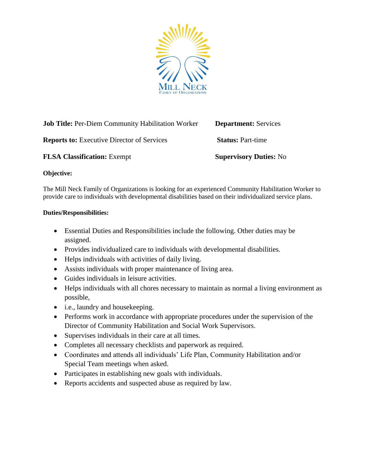

**Job Title:** Per-Diem Community Habilitation Worker **Department:** Services **Reports to:** Executive Director of Services **Status: Part-time FLSA Classification:** Exempt **Supervisory Duties:** No

#### **Objective:**

The Mill Neck Family of Organizations is looking for an experienced Community Habilitation Worker to provide care to individuals with developmental disabilities based on their individualized service plans.

#### **Duties/Responsibilities:**

- Essential Duties and Responsibilities include the following. Other duties may be assigned.
- Provides individualized care to individuals with developmental disabilities.
- Helps individuals with activities of daily living.
- Assists individuals with proper maintenance of living area.
- Guides individuals in leisure activities.
- Helps individuals with all chores necessary to maintain as normal a living environment as possible,
- i.e., laundry and housekeeping.
- Performs work in accordance with appropriate procedures under the supervision of the Director of Community Habilitation and Social Work Supervisors.
- Supervises individuals in their care at all times.
- Completes all necessary checklists and paperwork as required.
- Coordinates and attends all individuals' Life Plan, Community Habilitation and/or Special Team meetings when asked.
- Participates in establishing new goals with individuals.
- Reports accidents and suspected abuse as required by law.